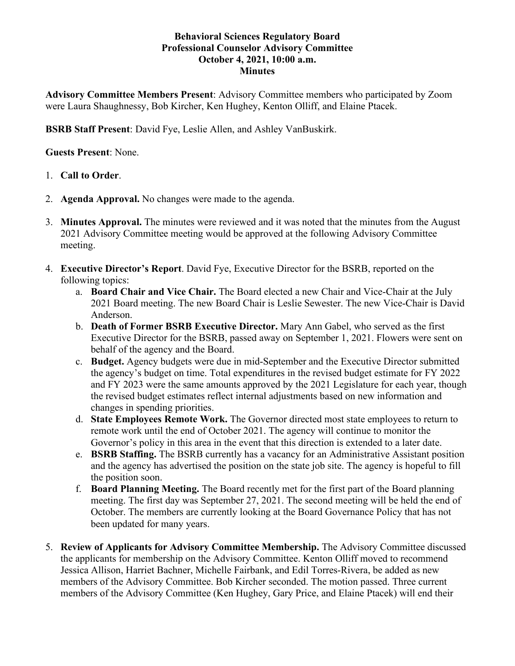## **Behavioral Sciences Regulatory Board Professional Counselor Advisory Committee October 4, 2021, 10:00 a.m. Minutes**

**Advisory Committee Members Present**: Advisory Committee members who participated by Zoom were Laura Shaughnessy, Bob Kircher, Ken Hughey, Kenton Olliff, and Elaine Ptacek.

**BSRB Staff Present**: David Fye, Leslie Allen, and Ashley VanBuskirk.

**Guests Present**: None.

# 1. **Call to Order**.

- 2. **Agenda Approval.** No changes were made to the agenda.
- 3. **Minutes Approval.** The minutes were reviewed and it was noted that the minutes from the August 2021 Advisory Committee meeting would be approved at the following Advisory Committee meeting.
- 4. **Executive Director's Report**. David Fye, Executive Director for the BSRB, reported on the following topics:
	- a. **Board Chair and Vice Chair.** The Board elected a new Chair and Vice-Chair at the July 2021 Board meeting. The new Board Chair is Leslie Sewester. The new Vice-Chair is David Anderson.
	- b. **Death of Former BSRB Executive Director.** Mary Ann Gabel, who served as the first Executive Director for the BSRB, passed away on September 1, 2021. Flowers were sent on behalf of the agency and the Board.
	- c. **Budget.** Agency budgets were due in mid-September and the Executive Director submitted the agency's budget on time. Total expenditures in the revised budget estimate for FY 2022 and FY 2023 were the same amounts approved by the 2021 Legislature for each year, though the revised budget estimates reflect internal adjustments based on new information and changes in spending priorities.
	- d. **State Employees Remote Work.** The Governor directed most state employees to return to remote work until the end of October 2021. The agency will continue to monitor the Governor's policy in this area in the event that this direction is extended to a later date.
	- e. **BSRB Staffing.** The BSRB currently has a vacancy for an Administrative Assistant position and the agency has advertised the position on the state job site. The agency is hopeful to fill the position soon.
	- f. **Board Planning Meeting.** The Board recently met for the first part of the Board planning meeting. The first day was September 27, 2021. The second meeting will be held the end of October. The members are currently looking at the Board Governance Policy that has not been updated for many years.
- 5. **Review of Applicants for Advisory Committee Membership.** The Advisory Committee discussed the applicants for membership on the Advisory Committee. Kenton Olliff moved to recommend Jessica Allison, Harriet Bachner, Michelle Fairbank, and Edil Torres-Rivera, be added as new members of the Advisory Committee. Bob Kircher seconded. The motion passed. Three current members of the Advisory Committee (Ken Hughey, Gary Price, and Elaine Ptacek) will end their